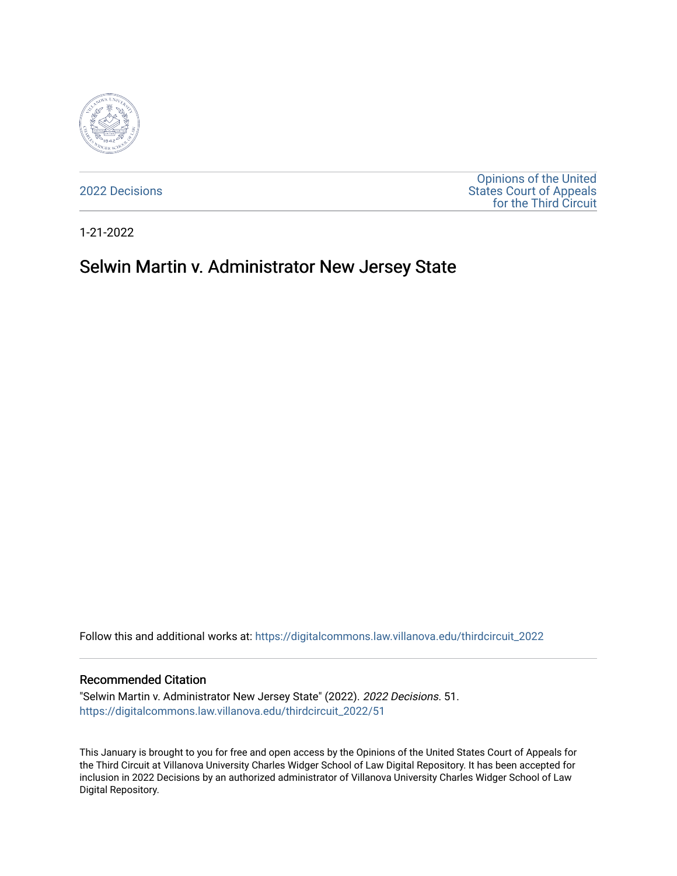

[2022 Decisions](https://digitalcommons.law.villanova.edu/thirdcircuit_2022)

[Opinions of the United](https://digitalcommons.law.villanova.edu/thirdcircuit)  [States Court of Appeals](https://digitalcommons.law.villanova.edu/thirdcircuit)  [for the Third Circuit](https://digitalcommons.law.villanova.edu/thirdcircuit) 

1-21-2022

# Selwin Martin v. Administrator New Jersey State

Follow this and additional works at: [https://digitalcommons.law.villanova.edu/thirdcircuit\\_2022](https://digitalcommons.law.villanova.edu/thirdcircuit_2022?utm_source=digitalcommons.law.villanova.edu%2Fthirdcircuit_2022%2F51&utm_medium=PDF&utm_campaign=PDFCoverPages) 

#### Recommended Citation

"Selwin Martin v. Administrator New Jersey State" (2022). 2022 Decisions. 51. [https://digitalcommons.law.villanova.edu/thirdcircuit\\_2022/51](https://digitalcommons.law.villanova.edu/thirdcircuit_2022/51?utm_source=digitalcommons.law.villanova.edu%2Fthirdcircuit_2022%2F51&utm_medium=PDF&utm_campaign=PDFCoverPages)

This January is brought to you for free and open access by the Opinions of the United States Court of Appeals for the Third Circuit at Villanova University Charles Widger School of Law Digital Repository. It has been accepted for inclusion in 2022 Decisions by an authorized administrator of Villanova University Charles Widger School of Law Digital Repository.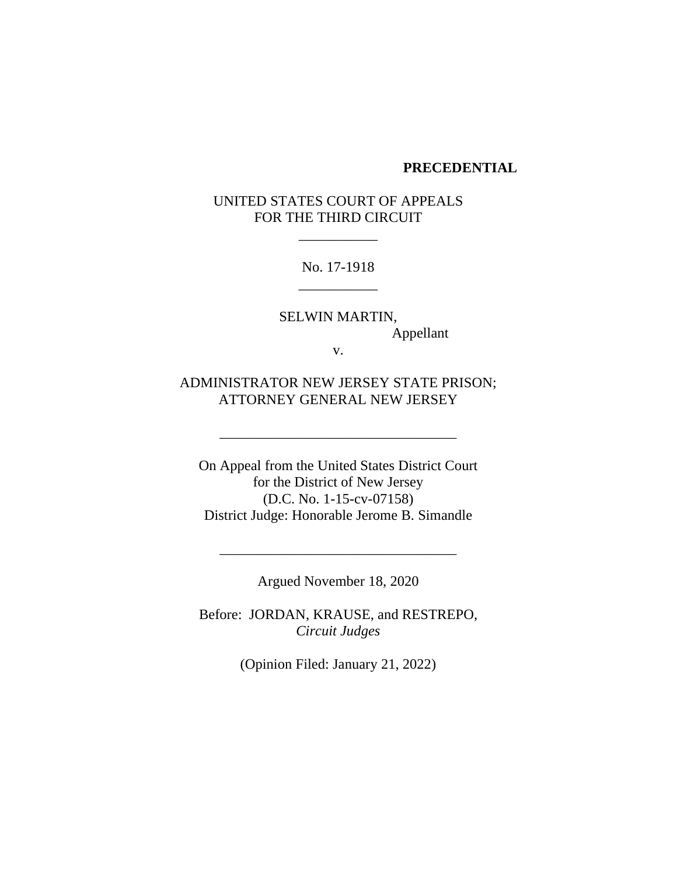#### **PRECEDENTIAL**

UNITED STATES COURT OF APPEALS FOR THE THIRD CIRCUIT

\_\_\_\_\_\_\_\_\_\_\_

No. 17-1918 \_\_\_\_\_\_\_\_\_\_\_

SELWIN MARTIN, Appellant

v.

ADMINISTRATOR NEW JERSEY STATE PRISON; ATTORNEY GENERAL NEW JERSEY

\_\_\_\_\_\_\_\_\_\_\_\_\_\_\_\_\_\_\_\_\_\_\_\_\_\_\_\_\_\_\_\_\_

On Appeal from the United States District Court for the District of New Jersey (D.C. No. 1-15-cv-07158) District Judge: Honorable Jerome B. Simandle

Argued November 18, 2020

\_\_\_\_\_\_\_\_\_\_\_\_\_\_\_\_\_\_\_\_\_\_\_\_\_\_\_\_\_\_\_\_\_

Before: JORDAN, KRAUSE, and RESTREPO, *Circuit Judges*

(Opinion Filed: January 21, 2022)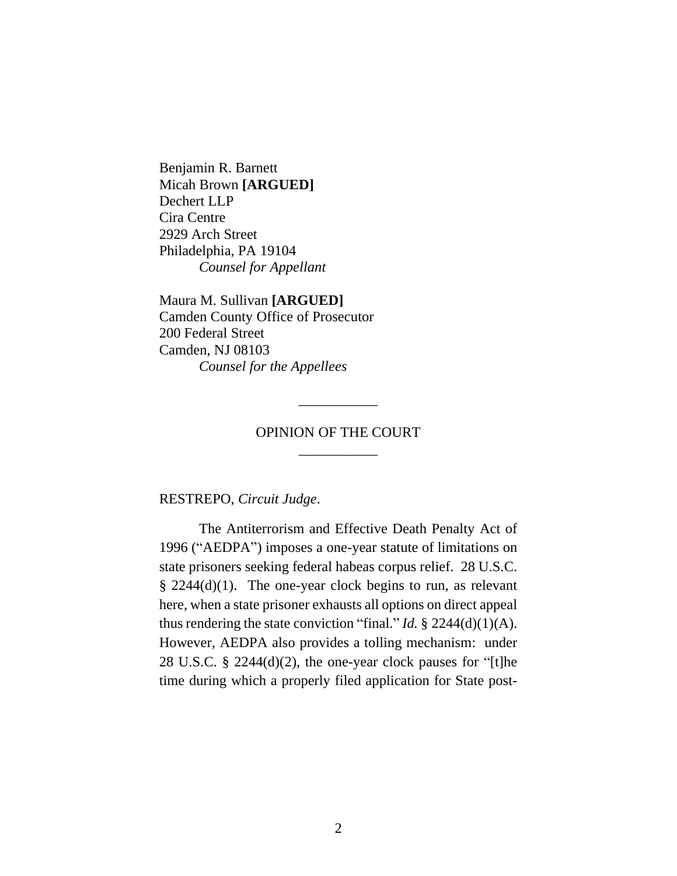Benjamin R. Barnett Micah Brown **[ARGUED]** Dechert LLP Cira Centre 2929 Arch Street Philadelphia, PA 19104 *Counsel for Appellant*

Maura M. Sullivan **[ARGUED]** Camden County Office of Prosecutor 200 Federal Street Camden, NJ 08103 *Counsel for the Appellees*

# OPINION OF THE COURT \_\_\_\_\_\_\_\_\_\_\_

\_\_\_\_\_\_\_\_\_\_\_

RESTREPO, *Circuit Judge*.

The Antiterrorism and Effective Death Penalty Act of 1996 ("AEDPA") imposes a one-year statute of limitations on state prisoners seeking federal habeas corpus relief. 28 U.S.C. § 2244(d)(1). The one-year clock begins to run, as relevant here, when a state prisoner exhausts all options on direct appeal thus rendering the state conviction "final." *Id.*  $\S$  2244(d)(1)(A). However, AEDPA also provides a tolling mechanism: under 28 U.S.C. § 2244(d)(2), the one-year clock pauses for "[t]he time during which a properly filed application for State post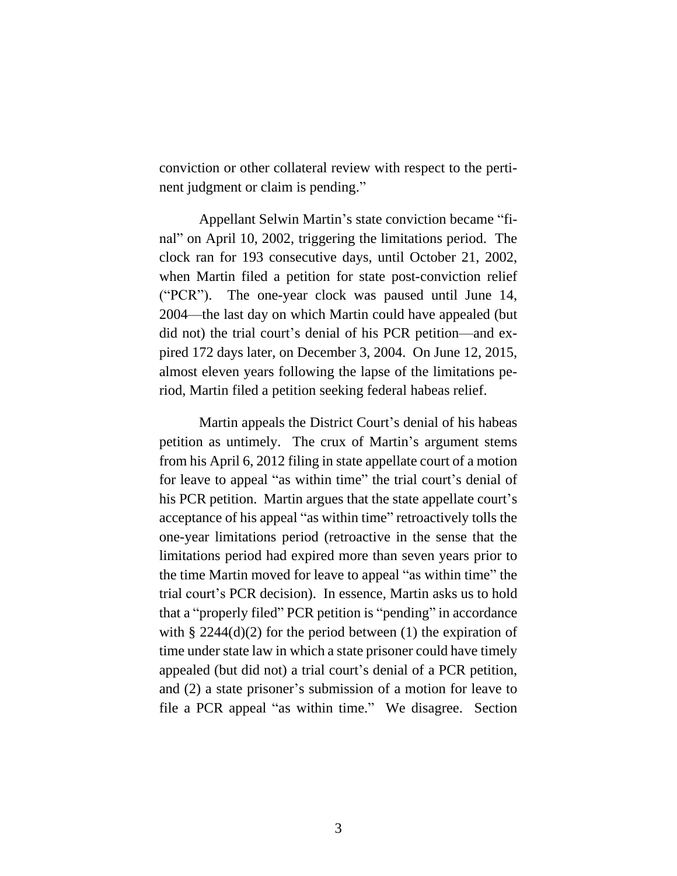conviction or other collateral review with respect to the pertinent judgment or claim is pending."

Appellant Selwin Martin's state conviction became "final" on April 10, 2002, triggering the limitations period. The clock ran for 193 consecutive days, until October 21, 2002, when Martin filed a petition for state post-conviction relief ("PCR"). The one-year clock was paused until June 14, 2004—the last day on which Martin could have appealed (but did not) the trial court's denial of his PCR petition—and expired 172 days later, on December 3, 2004. On June 12, 2015, almost eleven years following the lapse of the limitations period, Martin filed a petition seeking federal habeas relief.

Martin appeals the District Court's denial of his habeas petition as untimely. The crux of Martin's argument stems from his April 6, 2012 filing in state appellate court of a motion for leave to appeal "as within time" the trial court's denial of his PCR petition. Martin argues that the state appellate court's acceptance of his appeal "as within time" retroactively tolls the one-year limitations period (retroactive in the sense that the limitations period had expired more than seven years prior to the time Martin moved for leave to appeal "as within time" the trial court's PCR decision). In essence, Martin asks us to hold that a "properly filed" PCR petition is "pending" in accordance with  $\S 2244(d)(2)$  for the period between (1) the expiration of time under state law in which a state prisoner could have timely appealed (but did not) a trial court's denial of a PCR petition, and (2) a state prisoner's submission of a motion for leave to file a PCR appeal "as within time." We disagree. Section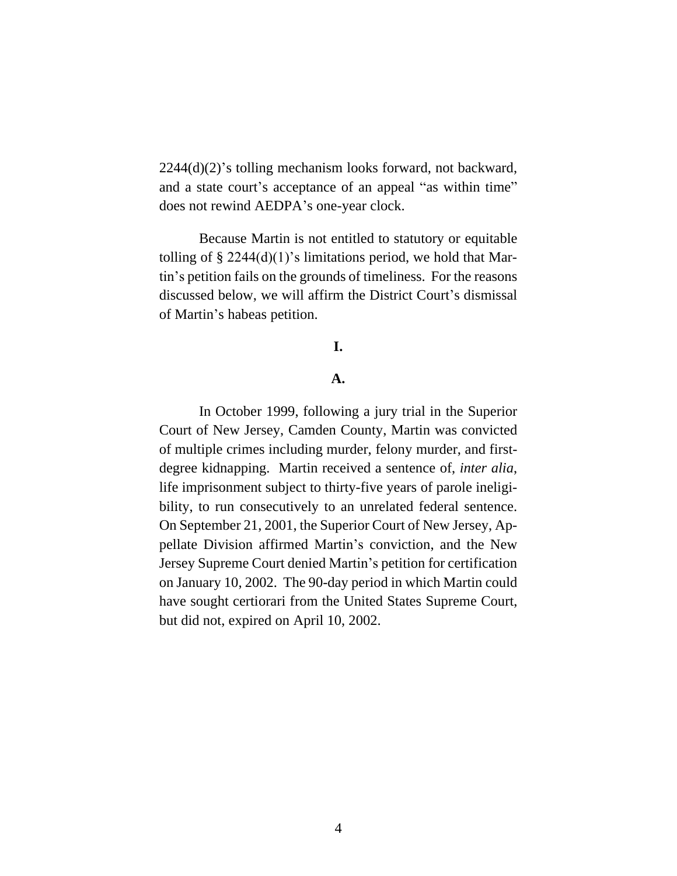2244(d)(2)'s tolling mechanism looks forward, not backward, and a state court's acceptance of an appeal "as within time" does not rewind AEDPA's one-year clock.

Because Martin is not entitled to statutory or equitable tolling of  $\S 2244(d)(1)$ 's limitations period, we hold that Martin's petition fails on the grounds of timeliness. For the reasons discussed below, we will affirm the District Court's dismissal of Martin's habeas petition.

# **I.**

## **A.**

In October 1999, following a jury trial in the Superior Court of New Jersey, Camden County, Martin was convicted of multiple crimes including murder, felony murder, and firstdegree kidnapping. Martin received a sentence of, *inter alia*, life imprisonment subject to thirty-five years of parole ineligibility, to run consecutively to an unrelated federal sentence. On September 21, 2001, the Superior Court of New Jersey, Appellate Division affirmed Martin's conviction, and the New Jersey Supreme Court denied Martin's petition for certification on January 10, 2002. The 90-day period in which Martin could have sought certiorari from the United States Supreme Court, but did not, expired on April 10, 2002.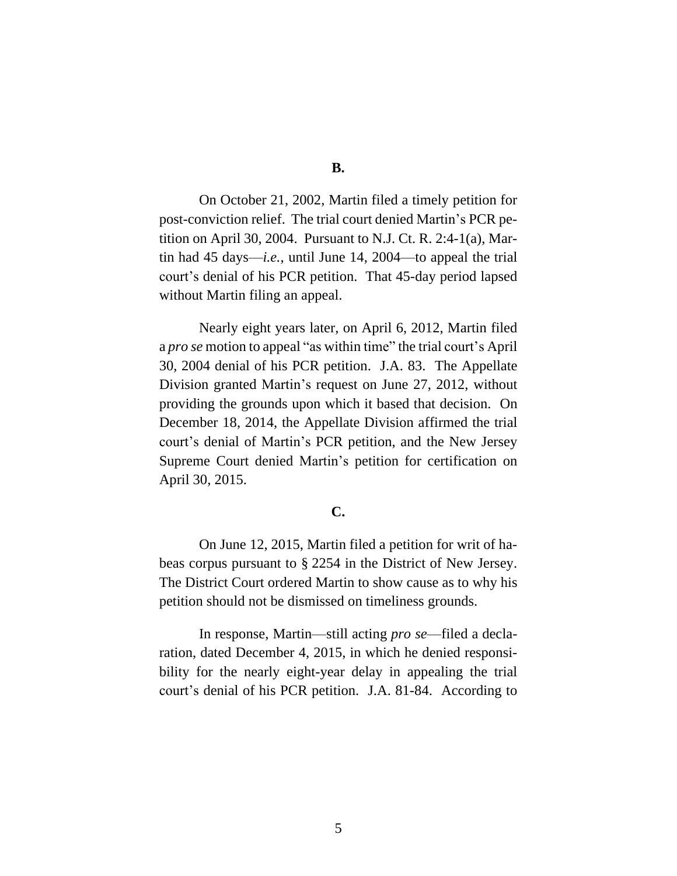On October 21, 2002, Martin filed a timely petition for post-conviction relief. The trial court denied Martin's PCR petition on April 30, 2004. Pursuant to N.J. Ct. R. 2:4-1(a), Martin had 45 days—*i.e.*, until June 14, 2004—to appeal the trial court's denial of his PCR petition. That 45-day period lapsed without Martin filing an appeal.

Nearly eight years later, on April 6, 2012, Martin filed a *pro se* motion to appeal "as within time" the trial court's April 30, 2004 denial of his PCR petition. J.A. 83. The Appellate Division granted Martin's request on June 27, 2012, without providing the grounds upon which it based that decision. On December 18, 2014, the Appellate Division affirmed the trial court's denial of Martin's PCR petition, and the New Jersey Supreme Court denied Martin's petition for certification on April 30, 2015.

# **C.**

On June 12, 2015, Martin filed a petition for writ of habeas corpus pursuant to § 2254 in the District of New Jersey. The District Court ordered Martin to show cause as to why his petition should not be dismissed on timeliness grounds.

In response, Martin—still acting *pro se*—filed a declaration, dated December 4, 2015, in which he denied responsibility for the nearly eight-year delay in appealing the trial court's denial of his PCR petition. J.A. 81-84. According to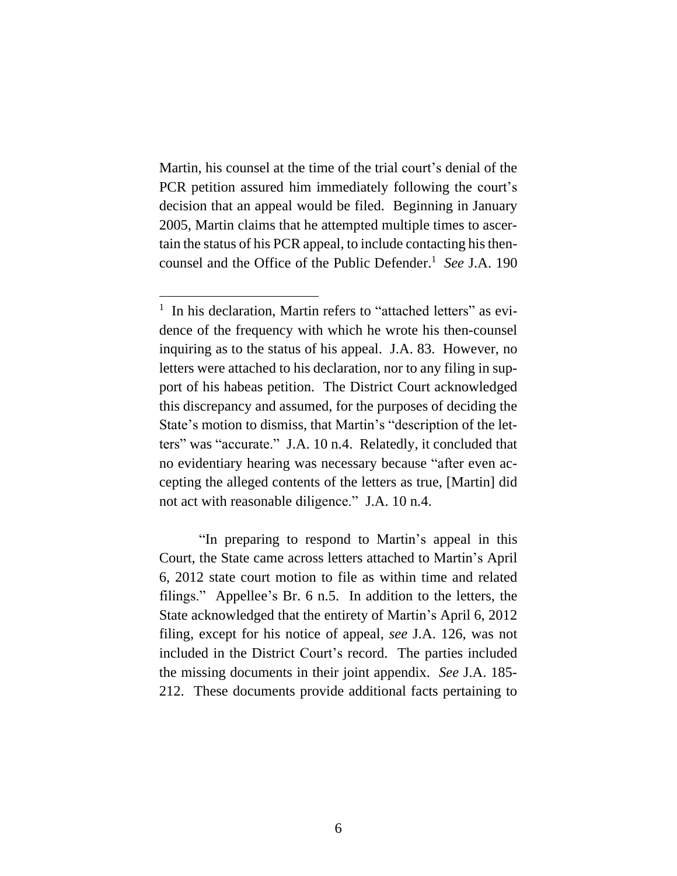Martin, his counsel at the time of the trial court's denial of the PCR petition assured him immediately following the court's decision that an appeal would be filed. Beginning in January 2005, Martin claims that he attempted multiple times to ascertain the status of his PCR appeal, to include contacting histhencounsel and the Office of the Public Defender. 1 *See* J.A. 190

"In preparing to respond to Martin's appeal in this Court, the State came across letters attached to Martin's April 6, 2012 state court motion to file as within time and related filings." Appellee's Br. 6 n.5. In addition to the letters, the State acknowledged that the entirety of Martin's April 6, 2012 filing, except for his notice of appeal, *see* J.A. 126, was not included in the District Court's record. The parties included the missing documents in their joint appendix. *See* J.A. 185- 212. These documents provide additional facts pertaining to

<sup>&</sup>lt;sup>1</sup> In his declaration, Martin refers to "attached letters" as evidence of the frequency with which he wrote his then-counsel inquiring as to the status of his appeal. J.A. 83. However, no letters were attached to his declaration, nor to any filing in support of his habeas petition. The District Court acknowledged this discrepancy and assumed, for the purposes of deciding the State's motion to dismiss, that Martin's "description of the letters" was "accurate." J.A. 10 n.4. Relatedly, it concluded that no evidentiary hearing was necessary because "after even accepting the alleged contents of the letters as true, [Martin] did not act with reasonable diligence." J.A. 10 n.4.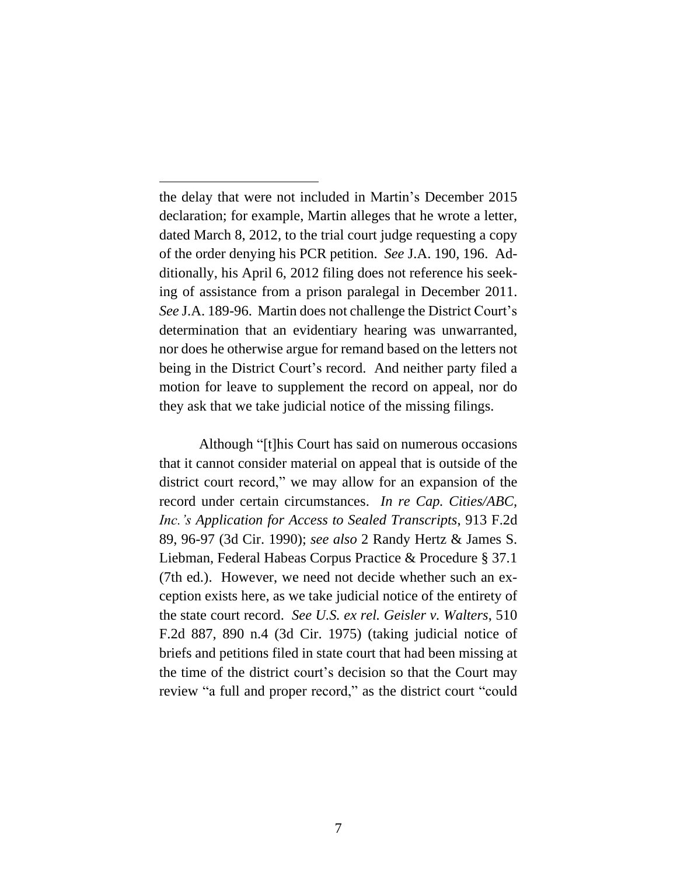the delay that were not included in Martin's December 2015 declaration; for example, Martin alleges that he wrote a letter, dated March 8, 2012, to the trial court judge requesting a copy of the order denying his PCR petition. *See* J.A. 190, 196. Additionally, his April 6, 2012 filing does not reference his seeking of assistance from a prison paralegal in December 2011. *See* J.A. 189-96. Martin does not challenge the District Court's determination that an evidentiary hearing was unwarranted, nor does he otherwise argue for remand based on the letters not being in the District Court's record. And neither party filed a motion for leave to supplement the record on appeal, nor do they ask that we take judicial notice of the missing filings.

Although "[t]his Court has said on numerous occasions that it cannot consider material on appeal that is outside of the district court record," we may allow for an expansion of the record under certain circumstances. *In re Cap. Cities/ABC, Inc.'s Application for Access to Sealed Transcripts*, 913 F.2d 89, 96-97 (3d Cir. 1990); *see also* 2 Randy Hertz & James S. Liebman, Federal Habeas Corpus Practice & Procedure § 37.1 (7th ed.). However, we need not decide whether such an exception exists here, as we take judicial notice of the entirety of the state court record. *See U.S. ex rel. Geisler v. Walters*, 510 F.2d 887, 890 n.4 (3d Cir. 1975) (taking judicial notice of briefs and petitions filed in state court that had been missing at the time of the district court's decision so that the Court may review "a full and proper record," as the district court "could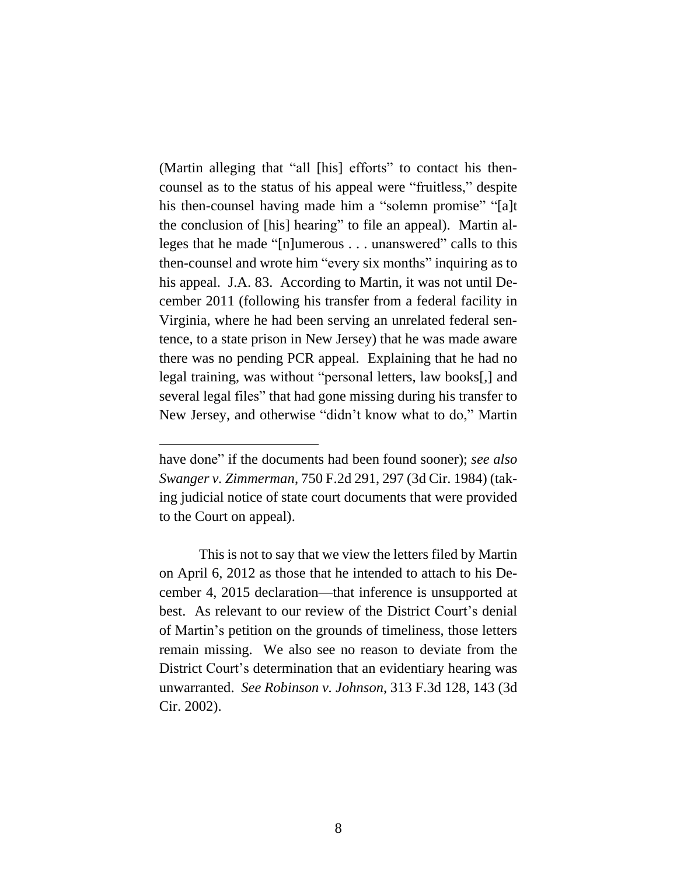(Martin alleging that "all [his] efforts" to contact his thencounsel as to the status of his appeal were "fruitless," despite his then-counsel having made him a "solemn promise" "[a]t the conclusion of [his] hearing" to file an appeal).Martin alleges that he made "[n]umerous . . . unanswered" calls to this then-counsel and wrote him "every six months" inquiring as to his appeal. J.A. 83. According to Martin, it was not until December 2011 (following his transfer from a federal facility in Virginia, where he had been serving an unrelated federal sentence, to a state prison in New Jersey) that he was made aware there was no pending PCR appeal. Explaining that he had no legal training, was without "personal letters, law books[,] and several legal files" that had gone missing during his transfer to New Jersey, and otherwise "didn't know what to do," Martin

have done" if the documents had been found sooner); *see also Swanger v. Zimmerman*, 750 F.2d 291, 297 (3d Cir. 1984) (taking judicial notice of state court documents that were provided to the Court on appeal).

This is not to say that we view the letters filed by Martin on April 6, 2012 as those that he intended to attach to his December 4, 2015 declaration—that inference is unsupported at best. As relevant to our review of the District Court's denial of Martin's petition on the grounds of timeliness, those letters remain missing. We also see no reason to deviate from the District Court's determination that an evidentiary hearing was unwarranted. *See Robinson v. Johnson*, 313 F.3d 128, 143 (3d Cir. 2002).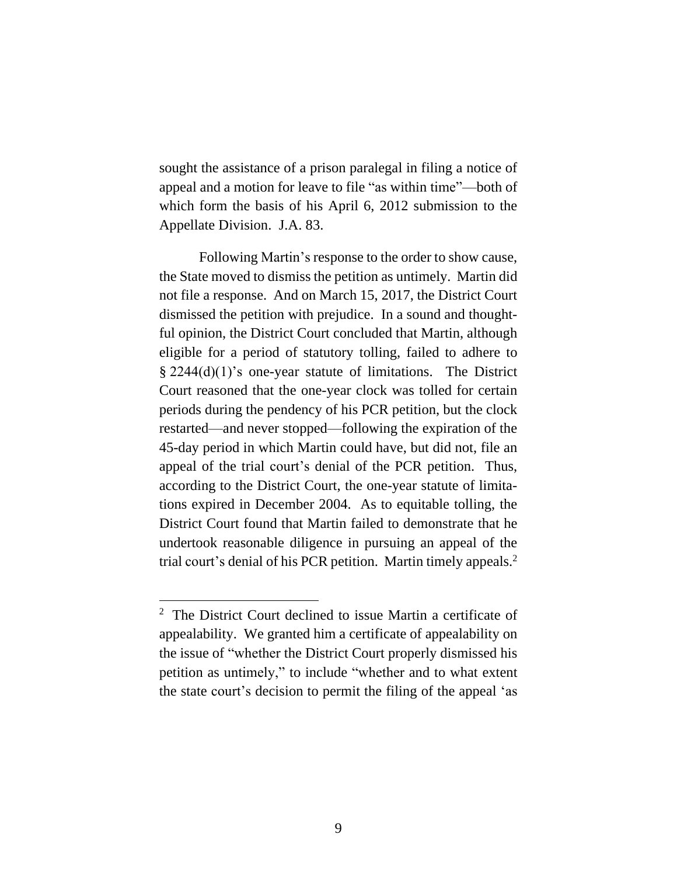sought the assistance of a prison paralegal in filing a notice of appeal and a motion for leave to file "as within time"—both of which form the basis of his April 6, 2012 submission to the Appellate Division. J.A. 83.

Following Martin's response to the order to show cause, the State moved to dismiss the petition as untimely. Martin did not file a response. And on March 15, 2017, the District Court dismissed the petition with prejudice. In a sound and thoughtful opinion, the District Court concluded that Martin, although eligible for a period of statutory tolling, failed to adhere to § 2244(d)(1)'s one-year statute of limitations. The District Court reasoned that the one-year clock was tolled for certain periods during the pendency of his PCR petition, but the clock restarted—and never stopped—following the expiration of the 45-day period in which Martin could have, but did not, file an appeal of the trial court's denial of the PCR petition. Thus, according to the District Court, the one-year statute of limitations expired in December 2004. As to equitable tolling, the District Court found that Martin failed to demonstrate that he undertook reasonable diligence in pursuing an appeal of the trial court's denial of his PCR petition. Martin timely appeals.<sup>2</sup>

<sup>&</sup>lt;sup>2</sup> The District Court declined to issue Martin a certificate of appealability. We granted him a certificate of appealability on the issue of "whether the District Court properly dismissed his petition as untimely," to include "whether and to what extent the state court's decision to permit the filing of the appeal 'as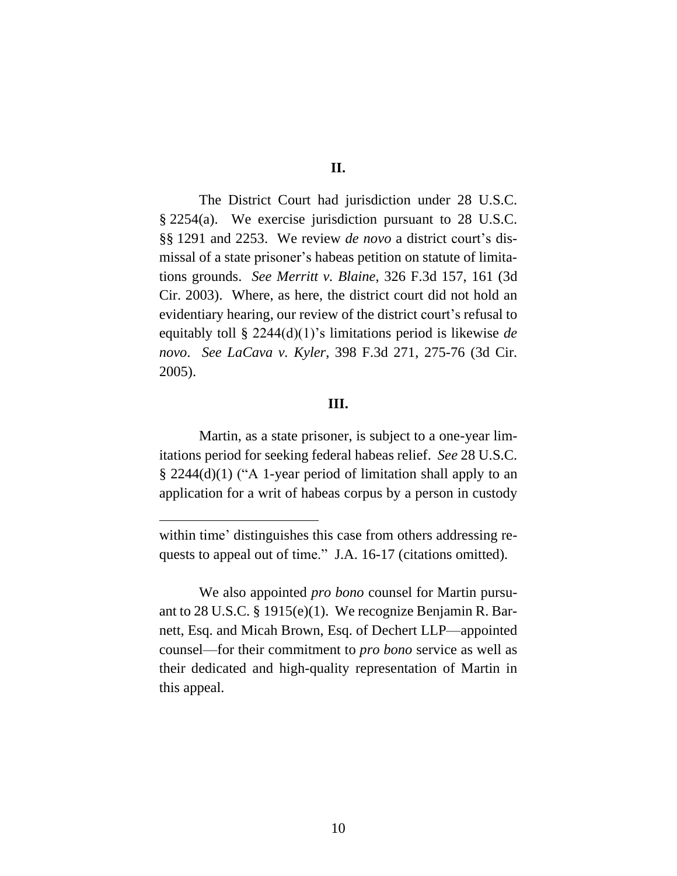**II.**

The District Court had jurisdiction under 28 U.S.C. § 2254(a). We exercise jurisdiction pursuant to 28 U.S.C. §§ 1291 and 2253. We review *de novo* a district court's dismissal of a state prisoner's habeas petition on statute of limitations grounds. *See Merritt v. Blaine*, 326 F.3d 157, 161 (3d Cir. 2003). Where, as here, the district court did not hold an evidentiary hearing, our review of the district court's refusal to equitably toll § 2244(d)(1)'s limitations period is likewise *de novo*. *See LaCava v. Kyler*, 398 F.3d 271, 275-76 (3d Cir. 2005).

## **III.**

Martin, as a state prisoner, is subject to a one-year limitations period for seeking federal habeas relief. *See* 28 U.S.C. § 2244(d)(1) ("A 1-year period of limitation shall apply to an application for a writ of habeas corpus by a person in custody

within time' distinguishes this case from others addressing requests to appeal out of time." J.A. 16-17 (citations omitted).

We also appointed *pro bono* counsel for Martin pursuant to 28 U.S.C. § 1915(e)(1). We recognize Benjamin R. Barnett, Esq. and Micah Brown, Esq. of Dechert LLP—appointed counsel—for their commitment to *pro bono* service as well as their dedicated and high-quality representation of Martin in this appeal.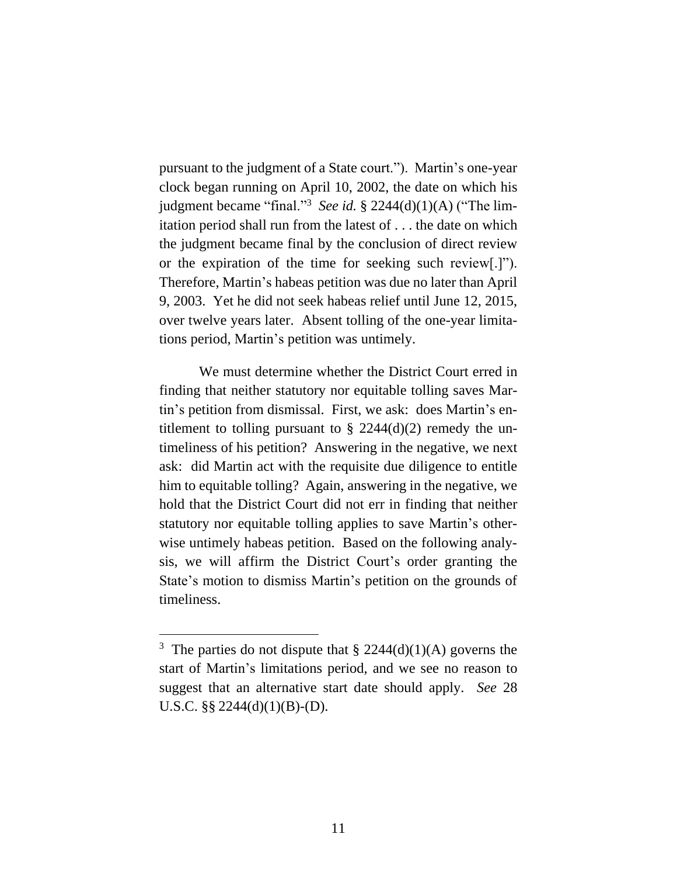pursuant to the judgment of a State court."). Martin's one-year clock began running on April 10, 2002, the date on which his judgment became "final."<sup>3</sup> See id. § 2244(d)(1)(A) ("The limitation period shall run from the latest of . . . the date on which the judgment became final by the conclusion of direct review or the expiration of the time for seeking such review[.]"). Therefore, Martin's habeas petition was due no later than April 9, 2003. Yet he did not seek habeas relief until June 12, 2015, over twelve years later. Absent tolling of the one-year limitations period, Martin's petition was untimely.

We must determine whether the District Court erred in finding that neither statutory nor equitable tolling saves Martin's petition from dismissal. First, we ask: does Martin's entitlement to tolling pursuant to  $\S$  2244(d)(2) remedy the untimeliness of his petition? Answering in the negative, we next ask: did Martin act with the requisite due diligence to entitle him to equitable tolling? Again, answering in the negative, we hold that the District Court did not err in finding that neither statutory nor equitable tolling applies to save Martin's otherwise untimely habeas petition. Based on the following analysis, we will affirm the District Court's order granting the State's motion to dismiss Martin's petition on the grounds of timeliness.

<sup>&</sup>lt;sup>3</sup> The parties do not dispute that  $\S 2244(d)(1)(A)$  governs the start of Martin's limitations period, and we see no reason to suggest that an alternative start date should apply. *See* 28 U.S.C. §§ 2244(d)(1)(B)-(D).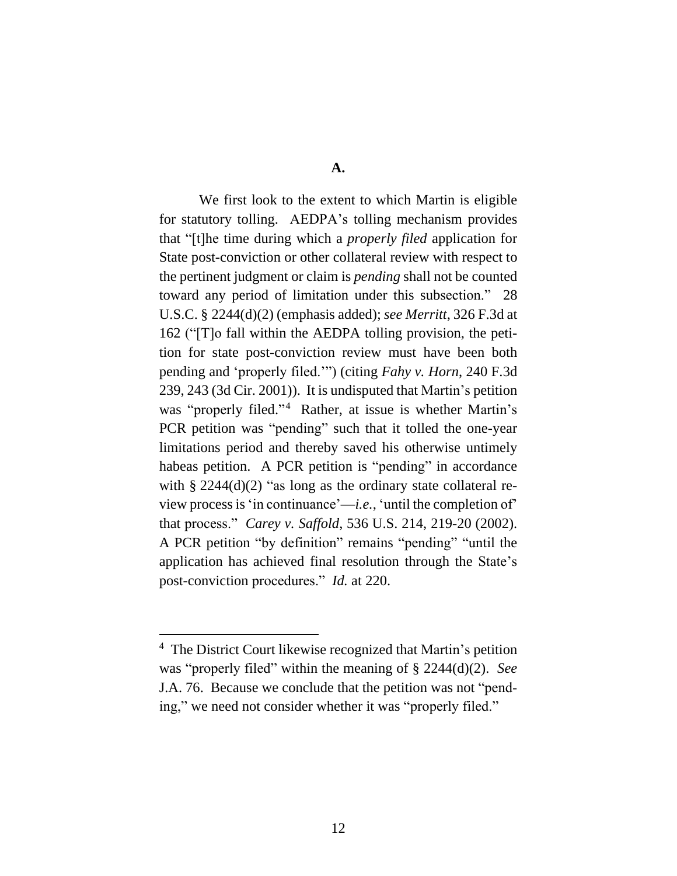**A.**

We first look to the extent to which Martin is eligible for statutory tolling. AEDPA's tolling mechanism provides that "[t]he time during which a *properly filed* application for State post-conviction or other collateral review with respect to the pertinent judgment or claim is *pending* shall not be counted toward any period of limitation under this subsection." 28 U.S.C. § 2244(d)(2) (emphasis added); *see Merritt*, 326 F.3d at 162 ("[T]o fall within the AEDPA tolling provision, the petition for state post-conviction review must have been both pending and 'properly filed.'") (citing *Fahy v. Horn*, 240 F.3d 239, 243 (3d Cir. 2001)). It is undisputed that Martin's petition was "properly filed." 4 Rather, at issue is whether Martin's PCR petition was "pending" such that it tolled the one-year limitations period and thereby saved his otherwise untimely habeas petition. A PCR petition is "pending" in accordance with  $\S 2244(d)(2)$  "as long as the ordinary state collateral review process is'in continuance'—*i.e.*, 'until the completion of' that process." *Carey v. Saffold*, 536 U.S. 214, 219-20 (2002). A PCR petition "by definition" remains "pending" "until the application has achieved final resolution through the State's post-conviction procedures." *Id.* at 220.

<sup>4</sup> The District Court likewise recognized that Martin's petition was "properly filed" within the meaning of § 2244(d)(2). *See* J.A. 76. Because we conclude that the petition was not "pending," we need not consider whether it was "properly filed."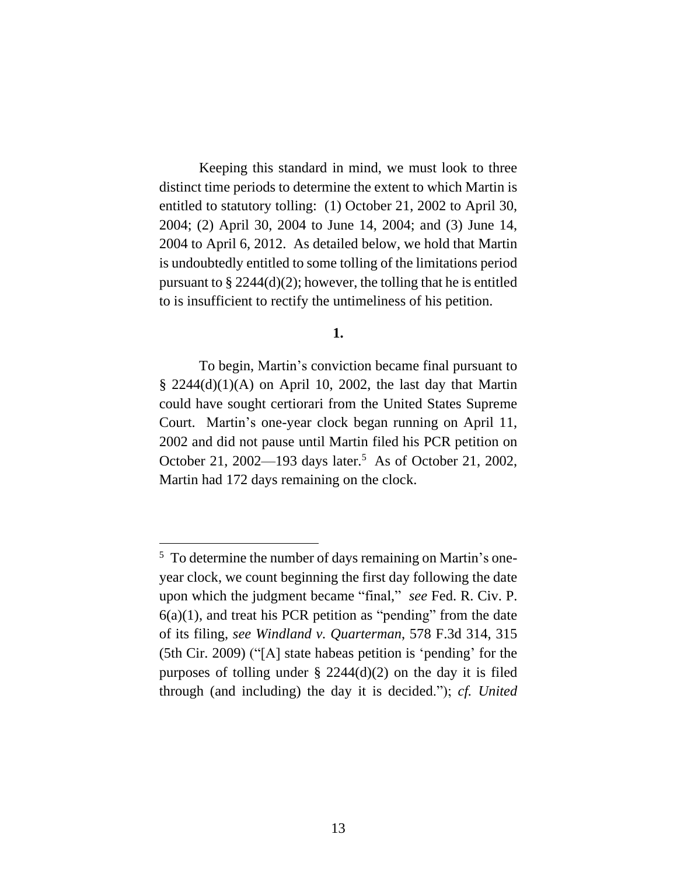Keeping this standard in mind, we must look to three distinct time periods to determine the extent to which Martin is entitled to statutory tolling: (1) October 21, 2002 to April 30, 2004; (2) April 30, 2004 to June 14, 2004; and (3) June 14, 2004 to April 6, 2012. As detailed below, we hold that Martin is undoubtedly entitled to some tolling of the limitations period pursuant to  $\S 2244(d)(2)$ ; however, the tolling that he is entitled to is insufficient to rectify the untimeliness of his petition.

#### **1.**

To begin, Martin's conviction became final pursuant to  $\S$  2244(d)(1)(A) on April 10, 2002, the last day that Martin could have sought certiorari from the United States Supreme Court. Martin's one-year clock began running on April 11, 2002 and did not pause until Martin filed his PCR petition on October 21, 2002—193 days later.<sup>5</sup> As of October 21, 2002, Martin had 172 days remaining on the clock.

<sup>&</sup>lt;sup>5</sup> To determine the number of days remaining on Martin's oneyear clock, we count beginning the first day following the date upon which the judgment became "final," *see* Fed. R. Civ. P.  $6(a)(1)$ , and treat his PCR petition as "pending" from the date of its filing, *see Windland v. Quarterman*, 578 F.3d 314, 315 (5th Cir. 2009) ("[A] state habeas petition is 'pending' for the purposes of tolling under  $\S$  2244(d)(2) on the day it is filed through (and including) the day it is decided."); *cf. United*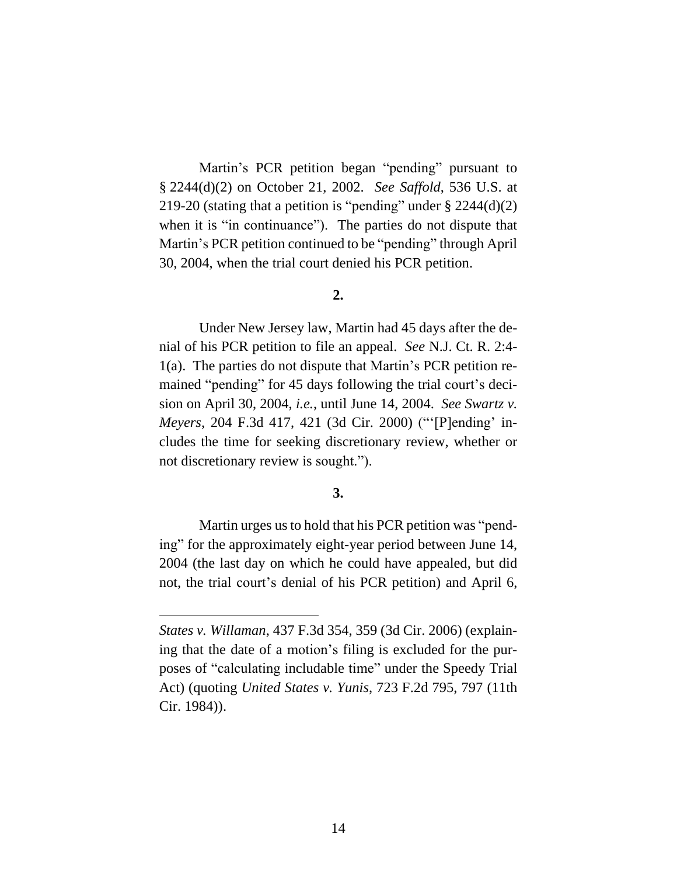Martin's PCR petition began "pending" pursuant to § 2244(d)(2) on October 21, 2002. *See Saffold*, 536 U.S. at 219-20 (stating that a petition is "pending" under  $\S 2244(d)(2)$ when it is "in continuance". The parties do not dispute that Martin's PCR petition continued to be "pending" through April 30, 2004, when the trial court denied his PCR petition.

#### **2.**

Under New Jersey law, Martin had 45 days after the denial of his PCR petition to file an appeal. *See* N.J. Ct. R. 2:4- 1(a). The parties do not dispute that Martin's PCR petition remained "pending" for 45 days following the trial court's decision on April 30, 2004, *i.e.*, until June 14, 2004. *See Swartz v. Meyers*, 204 F.3d 417, 421 (3d Cir. 2000) ("'[P]ending' includes the time for seeking discretionary review, whether or not discretionary review is sought.").

## **3.**

Martin urges us to hold that his PCR petition was "pending" for the approximately eight-year period between June 14, 2004 (the last day on which he could have appealed, but did not, the trial court's denial of his PCR petition) and April 6,

*States v. Willaman*, 437 F.3d 354, 359 (3d Cir. 2006) (explaining that the date of a motion's filing is excluded for the purposes of "calculating includable time" under the Speedy Trial Act) (quoting *United States v. Yunis*, 723 F.2d 795, 797 (11th Cir. 1984)).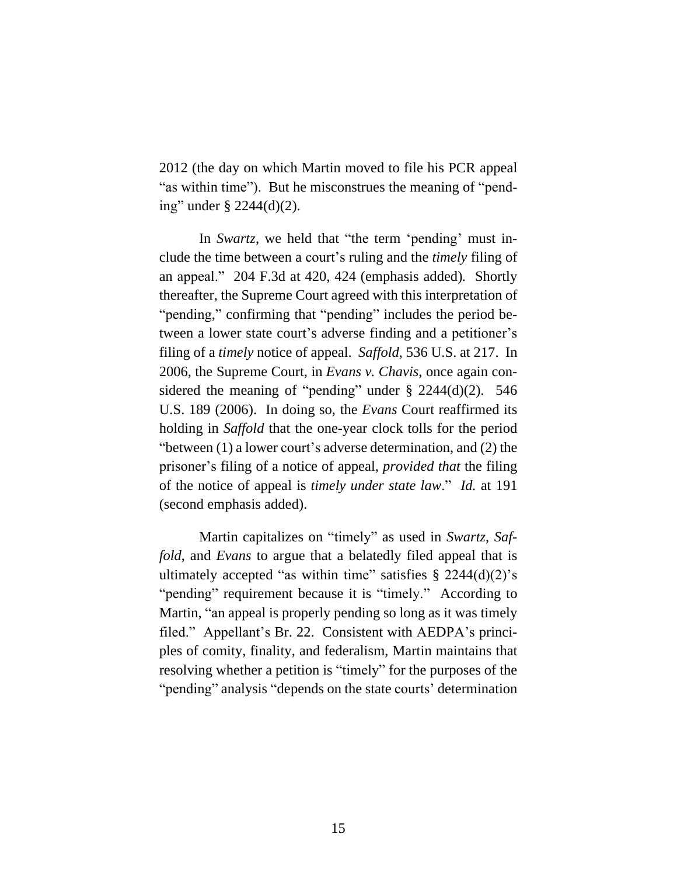2012 (the day on which Martin moved to file his PCR appeal "as within time"). But he misconstrues the meaning of "pending" under § 2244(d)(2).

In *Swartz*, we held that "the term 'pending' must include the time between a court's ruling and the *timely* filing of an appeal." 204 F.3d at 420, 424 (emphasis added)*.* Shortly thereafter, the Supreme Court agreed with this interpretation of "pending," confirming that "pending" includes the period between a lower state court's adverse finding and a petitioner's filing of a *timely* notice of appeal. *Saffold*, 536 U.S. at 217. In 2006, the Supreme Court, in *Evans v. Chavis*, once again considered the meaning of "pending" under  $\S$  2244(d)(2). 546 U.S. 189 (2006). In doing so, the *Evans* Court reaffirmed its holding in *Saffold* that the one-year clock tolls for the period "between (1) a lower court's adverse determination, and (2) the prisoner's filing of a notice of appeal, *provided that* the filing of the notice of appeal is *timely under state law*." *Id.* at 191 (second emphasis added).

Martin capitalizes on "timely" as used in *Swartz*, *Saffold*, and *Evans* to argue that a belatedly filed appeal that is ultimately accepted "as within time" satisfies  $\S$  2244(d)(2)'s "pending" requirement because it is "timely." According to Martin, "an appeal is properly pending so long as it was timely filed." Appellant's Br. 22. Consistent with AEDPA's principles of comity, finality, and federalism, Martin maintains that resolving whether a petition is "timely" for the purposes of the "pending" analysis "depends on the state courts' determination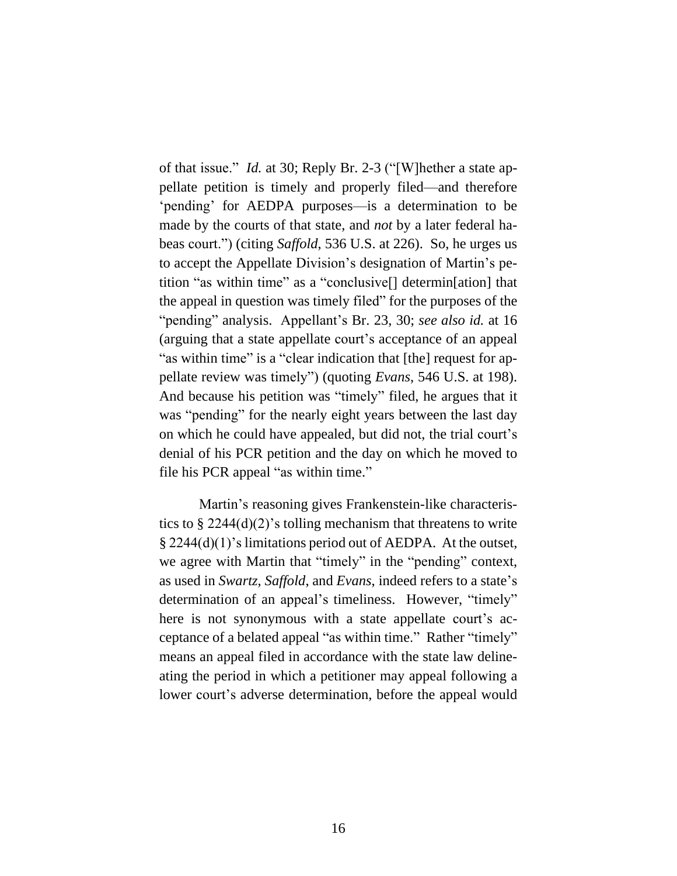of that issue." *Id.* at 30; Reply Br. 2-3 ("[W]hether a state appellate petition is timely and properly filed—and therefore 'pending' for AEDPA purposes—is a determination to be made by the courts of that state, and *not* by a later federal habeas court.") (citing *Saffold*, 536 U.S. at 226). So, he urges us to accept the Appellate Division's designation of Martin's petition "as within time" as a "conclusive[] determin[ation] that the appeal in question was timely filed" for the purposes of the "pending" analysis. Appellant's Br. 23, 30; *see also id.* at 16 (arguing that a state appellate court's acceptance of an appeal "as within time" is a "clear indication that [the] request for appellate review was timely") (quoting *Evans*, 546 U.S. at 198). And because his petition was "timely" filed, he argues that it was "pending" for the nearly eight years between the last day on which he could have appealed, but did not, the trial court's denial of his PCR petition and the day on which he moved to file his PCR appeal "as within time."

Martin's reasoning gives Frankenstein-like characteristics to  $\S 2244(d)(2)$ 's tolling mechanism that threatens to write § 2244(d)(1)'s limitations period out of AEDPA. At the outset, we agree with Martin that "timely" in the "pending" context, as used in *Swartz*, *Saffold*, and *Evans*, indeed refers to a state's determination of an appeal's timeliness. However, "timely" here is not synonymous with a state appellate court's acceptance of a belated appeal "as within time." Rather "timely" means an appeal filed in accordance with the state law delineating the period in which a petitioner may appeal following a lower court's adverse determination, before the appeal would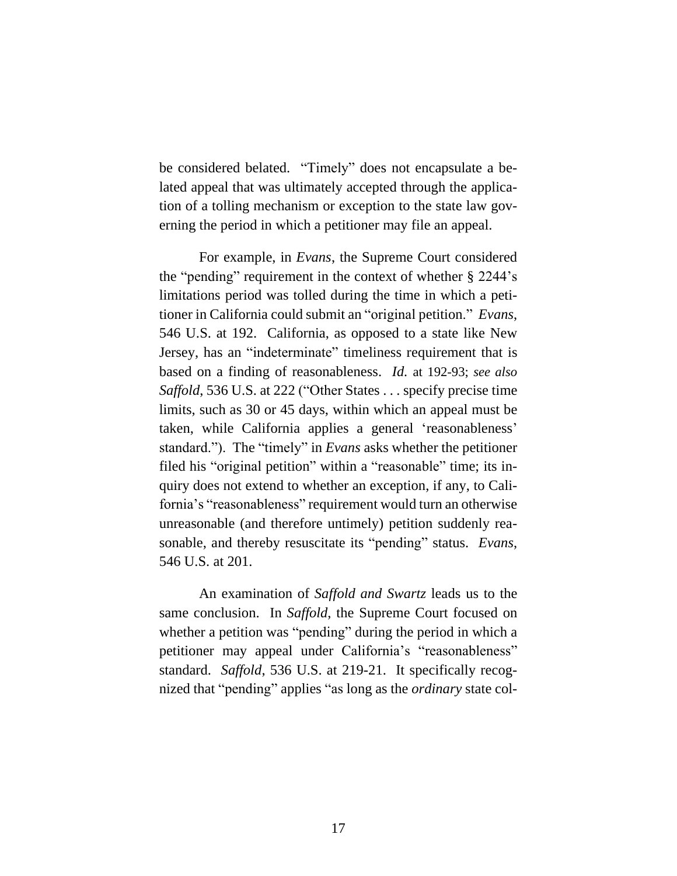be considered belated. "Timely" does not encapsulate a belated appeal that was ultimately accepted through the application of a tolling mechanism or exception to the state law governing the period in which a petitioner may file an appeal.

For example, in *Evans*, the Supreme Court considered the "pending" requirement in the context of whether § 2244's limitations period was tolled during the time in which a petitioner in California could submit an "original petition." *Evans*, 546 U.S. at 192. California, as opposed to a state like New Jersey, has an "indeterminate" timeliness requirement that is based on a finding of reasonableness. *Id.* at 192-93; *see also Saffold*, 536 U.S. at 222 ("Other States . . . specify precise time limits, such as 30 or 45 days, within which an appeal must be taken, while California applies a general 'reasonableness' standard."). The "timely" in *Evans* asks whether the petitioner filed his "original petition" within a "reasonable" time; its inquiry does not extend to whether an exception, if any, to California's "reasonableness" requirement would turn an otherwise unreasonable (and therefore untimely) petition suddenly reasonable, and thereby resuscitate its "pending" status. *Evans*, 546 U.S. at 201.

An examination of *Saffold and Swartz* leads us to the same conclusion. In *Saffold*, the Supreme Court focused on whether a petition was "pending" during the period in which a petitioner may appeal under California's "reasonableness" standard. *Saffold*, 536 U.S. at 219-21. It specifically recognized that "pending" applies "as long as the *ordinary* state col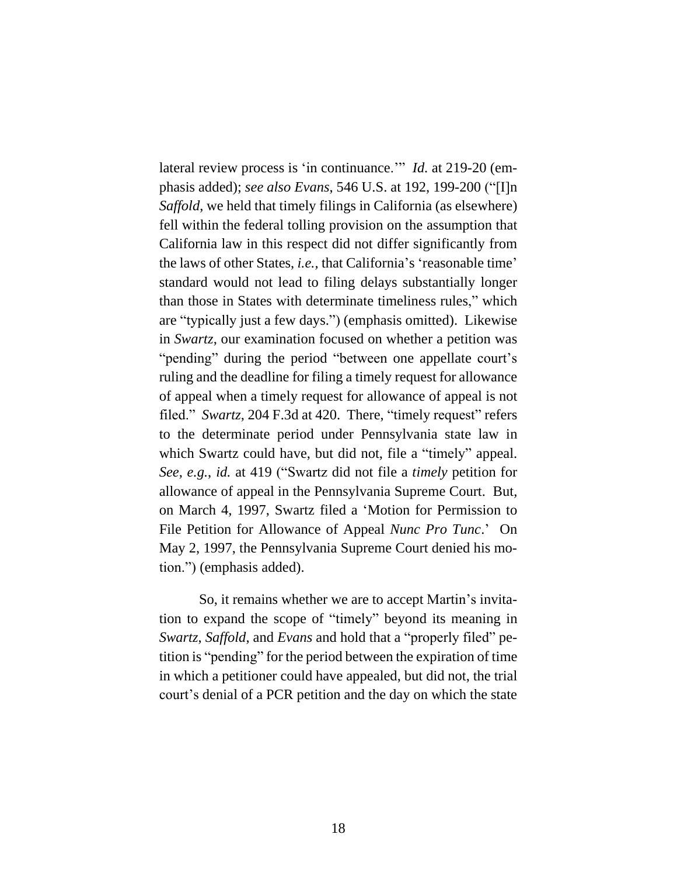lateral review process is 'in continuance.'" *Id.* at 219-20 (emphasis added); *see also Evans*, 546 U.S. at 192, 199-200 ("[I]n *Saffold*, we held that timely filings in California (as elsewhere) fell within the federal tolling provision on the assumption that California law in this respect did not differ significantly from the laws of other States, *i.e.,* that California's 'reasonable time' standard would not lead to filing delays substantially longer than those in States with determinate timeliness rules," which are "typically just a few days.") (emphasis omitted). Likewise in *Swartz*, our examination focused on whether a petition was "pending" during the period "between one appellate court's ruling and the deadline for filing a timely request for allowance of appeal when a timely request for allowance of appeal is not filed." *Swartz*, 204 F.3d at 420. There, "timely request" refers to the determinate period under Pennsylvania state law in which Swartz could have, but did not, file a "timely" appeal. *See, e.g.*, *id.* at 419 ("Swartz did not file a *timely* petition for allowance of appeal in the Pennsylvania Supreme Court. But, on March 4, 1997, Swartz filed a 'Motion for Permission to File Petition for Allowance of Appeal *Nunc Pro Tunc*.' On May 2, 1997, the Pennsylvania Supreme Court denied his motion.") (emphasis added).

So, it remains whether we are to accept Martin's invitation to expand the scope of "timely" beyond its meaning in *Swartz*, *Saffold*, and *Evans* and hold that a "properly filed" petition is "pending" for the period between the expiration of time in which a petitioner could have appealed, but did not, the trial court's denial of a PCR petition and the day on which the state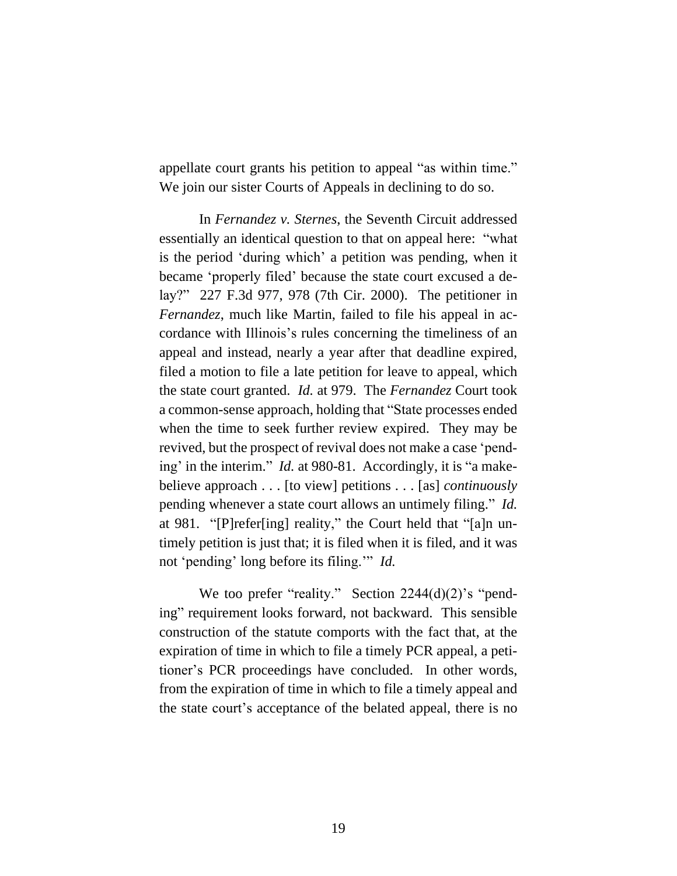appellate court grants his petition to appeal "as within time." We join our sister Courts of Appeals in declining to do so.

In *Fernandez v. Sternes*, the Seventh Circuit addressed essentially an identical question to that on appeal here: "what is the period 'during which' a petition was pending, when it became 'properly filed' because the state court excused a delay?" 227 F.3d 977, 978 (7th Cir. 2000). The petitioner in *Fernandez*, much like Martin, failed to file his appeal in accordance with Illinois's rules concerning the timeliness of an appeal and instead, nearly a year after that deadline expired, filed a motion to file a late petition for leave to appeal, which the state court granted. *Id.* at 979. The *Fernandez* Court took a common-sense approach, holding that "State processes ended when the time to seek further review expired. They may be revived, but the prospect of revival does not make a case 'pending' in the interim." *Id.* at 980-81. Accordingly, it is "a makebelieve approach . . . [to view] petitions . . . [as] *continuously* pending whenever a state court allows an untimely filing." *Id.* at 981. "[P]refer[ing] reality," the Court held that "[a]n untimely petition is just that; it is filed when it is filed, and it was not 'pending' long before its filing.'" *Id.*

We too prefer "reality." Section 2244(d)(2)'s "pending" requirement looks forward, not backward. This sensible construction of the statute comports with the fact that, at the expiration of time in which to file a timely PCR appeal, a petitioner's PCR proceedings have concluded. In other words, from the expiration of time in which to file a timely appeal and the state court's acceptance of the belated appeal, there is no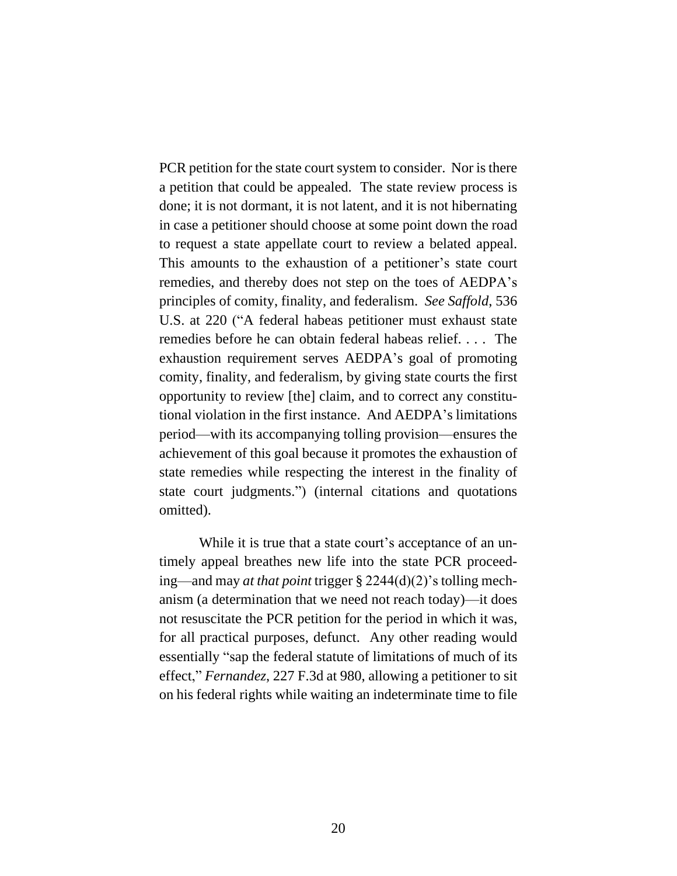PCR petition for the state court system to consider. Nor is there a petition that could be appealed. The state review process is done; it is not dormant, it is not latent, and it is not hibernating in case a petitioner should choose at some point down the road to request a state appellate court to review a belated appeal. This amounts to the exhaustion of a petitioner's state court remedies, and thereby does not step on the toes of AEDPA's principles of comity, finality, and federalism. *See Saffold*, 536 U.S. at 220 ("A federal habeas petitioner must exhaust state remedies before he can obtain federal habeas relief. . . . The exhaustion requirement serves AEDPA's goal of promoting comity, finality, and federalism, by giving state courts the first opportunity to review [the] claim, and to correct any constitutional violation in the first instance. And AEDPA's limitations period—with its accompanying tolling provision—ensures the achievement of this goal because it promotes the exhaustion of state remedies while respecting the interest in the finality of state court judgments.") (internal citations and quotations omitted).

While it is true that a state court's acceptance of an untimely appeal breathes new life into the state PCR proceeding—and may *at that point* trigger § 2244(d)(2)'s tolling mechanism (a determination that we need not reach today)—it does not resuscitate the PCR petition for the period in which it was, for all practical purposes, defunct. Any other reading would essentially "sap the federal statute of limitations of much of its effect," *Fernandez*, 227 F.3d at 980, allowing a petitioner to sit on his federal rights while waiting an indeterminate time to file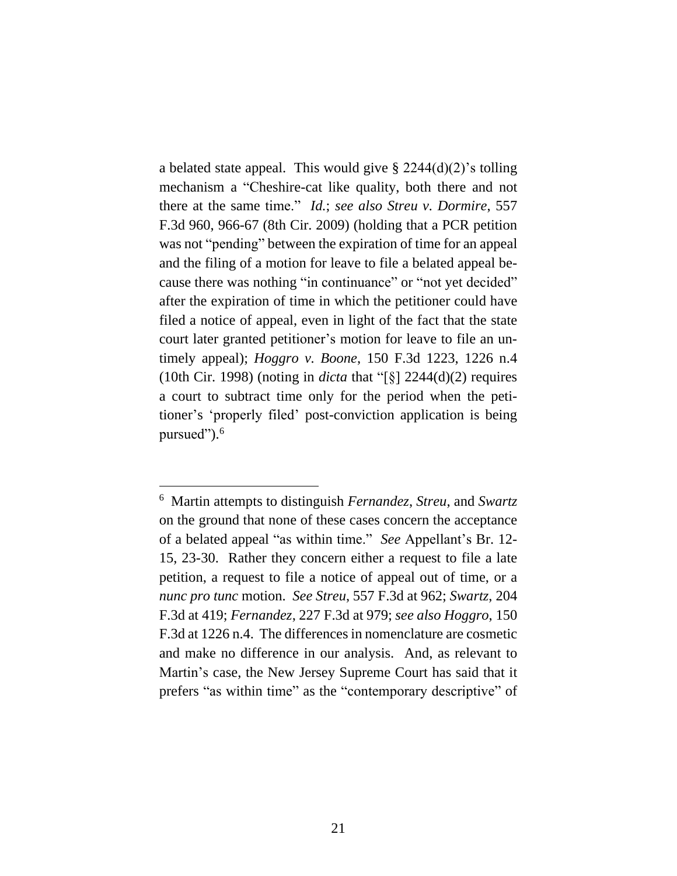a belated state appeal. This would give  $\S 2244(d)(2)$ 's tolling mechanism a "Cheshire-cat like quality, both there and not there at the same time." *Id.*; *see also Streu v. Dormire*, 557 F.3d 960, 966-67 (8th Cir. 2009) (holding that a PCR petition was not "pending" between the expiration of time for an appeal and the filing of a motion for leave to file a belated appeal because there was nothing "in continuance" or "not yet decided" after the expiration of time in which the petitioner could have filed a notice of appeal, even in light of the fact that the state court later granted petitioner's motion for leave to file an untimely appeal); *Hoggro v. Boone*, 150 F.3d 1223, 1226 n.4 (10th Cir. 1998) (noting in *dicta* that "[§] 2244(d)(2) requires a court to subtract time only for the period when the petitioner's 'properly filed' post-conviction application is being pursued").<sup>6</sup>

<sup>6</sup> Martin attempts to distinguish *Fernandez*, *Streu*, and *Swartz* on the ground that none of these cases concern the acceptance of a belated appeal "as within time." *See* Appellant's Br. 12- 15, 23-30. Rather they concern either a request to file a late petition, a request to file a notice of appeal out of time, or a *nunc pro tunc* motion. *See Streu*, 557 F.3d at 962; *Swartz*, 204 F.3d at 419; *Fernandez*, 227 F.3d at 979; *see also Hoggro*, 150 F.3d at 1226 n.4. The differences in nomenclature are cosmetic and make no difference in our analysis. And, as relevant to Martin's case, the New Jersey Supreme Court has said that it prefers "as within time" as the "contemporary descriptive" of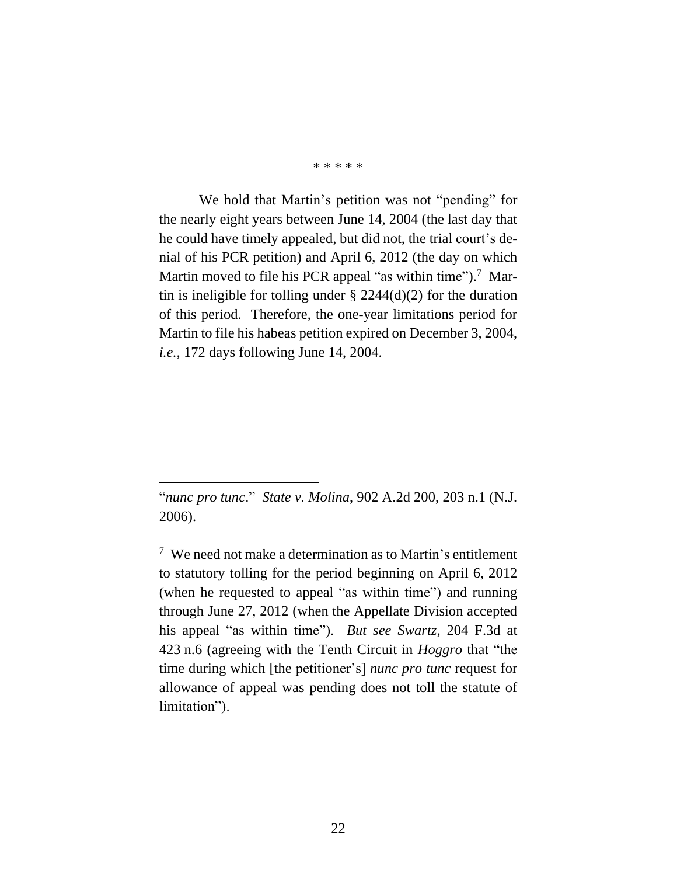\* \* \* \* \*

We hold that Martin's petition was not "pending" for the nearly eight years between June 14, 2004 (the last day that he could have timely appealed, but did not, the trial court's denial of his PCR petition) and April 6, 2012 (the day on which Martin moved to file his PCR appeal "as within time").<sup>7</sup> Martin is ineligible for tolling under  $\S 2244(d)(2)$  for the duration of this period. Therefore, the one-year limitations period for Martin to file his habeas petition expired on December 3, 2004, *i.e.,* 172 days following June 14, 2004.

<sup>&</sup>quot;*nunc pro tunc*." *State v. Molina*, 902 A.2d 200, 203 n.1 (N.J. 2006).

<sup>7</sup> We need not make a determination as to Martin's entitlement to statutory tolling for the period beginning on April 6, 2012 (when he requested to appeal "as within time") and running through June 27, 2012 (when the Appellate Division accepted his appeal "as within time"). *But see Swartz*, 204 F.3d at 423 n.6 (agreeing with the Tenth Circuit in *Hoggro* that "the time during which [the petitioner's] *nunc pro tunc* request for allowance of appeal was pending does not toll the statute of limitation").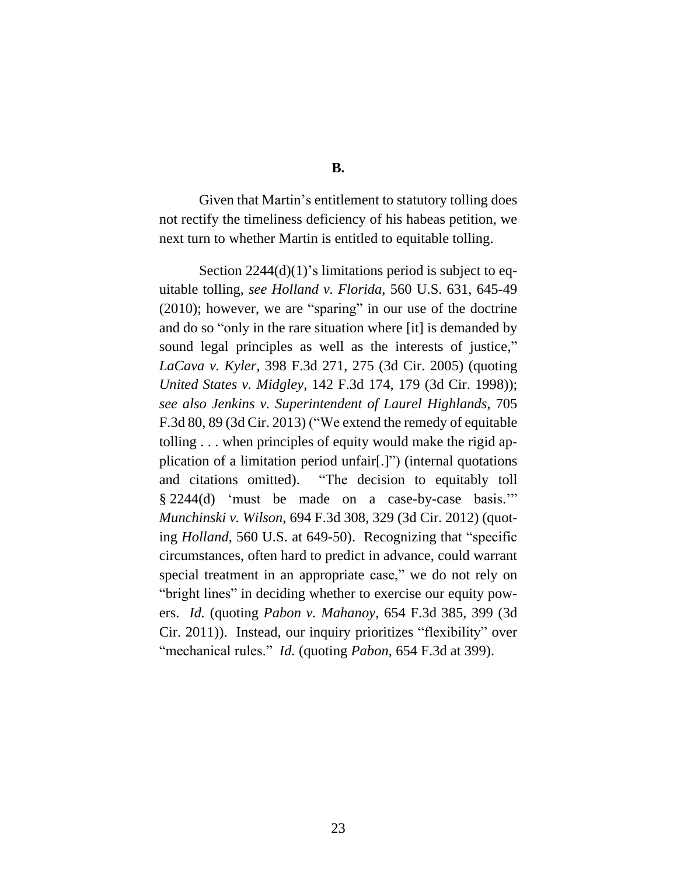Given that Martin's entitlement to statutory tolling does not rectify the timeliness deficiency of his habeas petition, we next turn to whether Martin is entitled to equitable tolling.

Section 2244(d)(1)'s limitations period is subject to equitable tolling, *see Holland v. Florida*, 560 U.S. 631, 645-49 (2010); however, we are "sparing" in our use of the doctrine and do so "only in the rare situation where [it] is demanded by sound legal principles as well as the interests of justice," *LaCava v. Kyler*, 398 F.3d 271, 275 (3d Cir. 2005) (quoting *United States v. Midgley*, 142 F.3d 174, 179 (3d Cir. 1998)); *see also Jenkins v. Superintendent of Laurel Highlands*, 705 F.3d 80, 89 (3d Cir. 2013) ("We extend the remedy of equitable tolling . . . when principles of equity would make the rigid application of a limitation period unfair[.]") (internal quotations and citations omitted). "The decision to equitably toll § 2244(d) 'must be made on a case-by-case basis.'" *Munchinski v. Wilson*, 694 F.3d 308, 329 (3d Cir. 2012) (quoting *Holland*, 560 U.S. at 649-50). Recognizing that "specific circumstances, often hard to predict in advance, could warrant special treatment in an appropriate case," we do not rely on "bright lines" in deciding whether to exercise our equity powers. *Id.* (quoting *Pabon v. Mahanoy*, 654 F.3d 385, 399 (3d Cir. 2011)). Instead, our inquiry prioritizes "flexibility" over "mechanical rules." *Id.* (quoting *Pabon*, 654 F.3d at 399).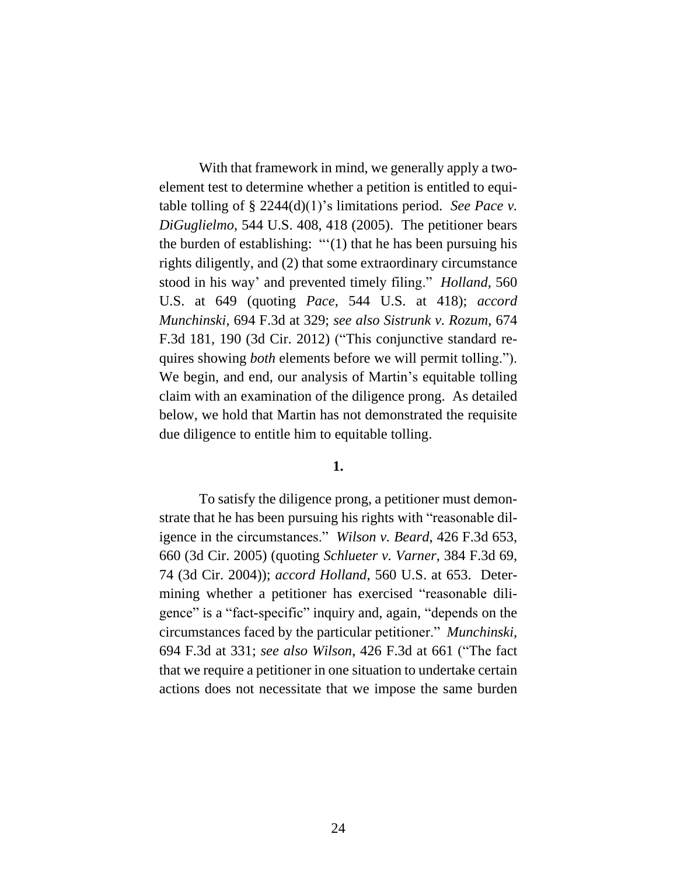With that framework in mind, we generally apply a twoelement test to determine whether a petition is entitled to equitable tolling of § 2244(d)(1)'s limitations period. *See Pace v. DiGuglielmo*, 544 U.S. 408, 418 (2005). The petitioner bears the burden of establishing: "'(1) that he has been pursuing his rights diligently, and (2) that some extraordinary circumstance stood in his way' and prevented timely filing." *Holland*, 560 U.S. at 649 (quoting *Pace*, 544 U.S. at 418); *accord Munchinski*, 694 F.3d at 329; *see also Sistrunk v. Rozum*, 674 F.3d 181, 190 (3d Cir. 2012) ("This conjunctive standard requires showing *both* elements before we will permit tolling."). We begin, and end, our analysis of Martin's equitable tolling claim with an examination of the diligence prong. As detailed below, we hold that Martin has not demonstrated the requisite due diligence to entitle him to equitable tolling.

#### **1.**

To satisfy the diligence prong, a petitioner must demonstrate that he has been pursuing his rights with "reasonable diligence in the circumstances." *Wilson v. Beard*, 426 F.3d 653, 660 (3d Cir. 2005) (quoting *Schlueter v. Varner*, 384 F.3d 69, 74 (3d Cir. 2004)); *accord Holland*, 560 U.S. at 653. Determining whether a petitioner has exercised "reasonable diligence" is a "fact-specific" inquiry and, again, "depends on the circumstances faced by the particular petitioner." *Munchinski*, 694 F.3d at 331; *see also Wilson*, 426 F.3d at 661 ("The fact that we require a petitioner in one situation to undertake certain actions does not necessitate that we impose the same burden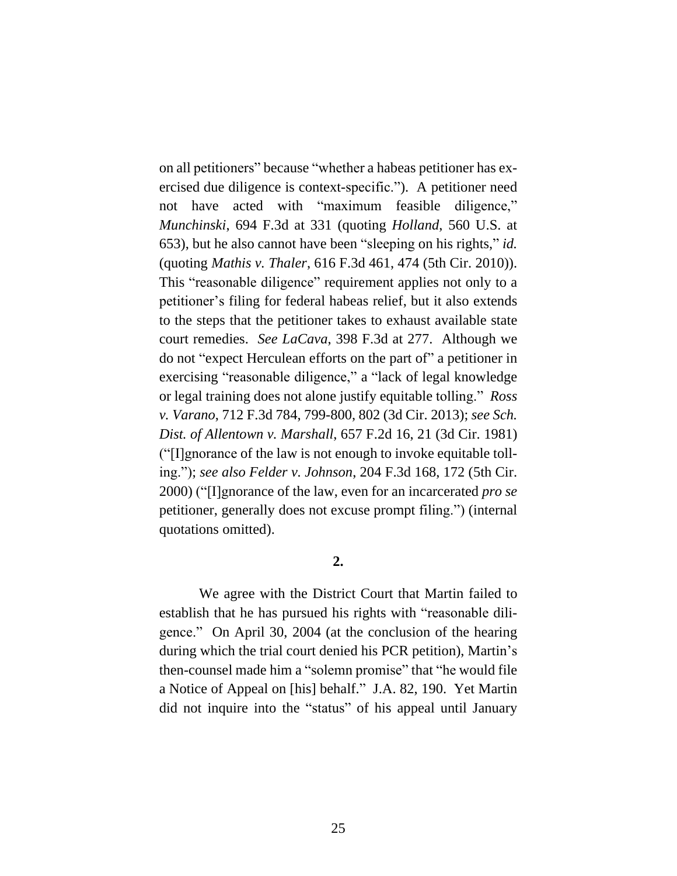on all petitioners" because "whether a habeas petitioner has exercised due diligence is context-specific."). A petitioner need not have acted with "maximum feasible diligence," *Munchinski*, 694 F.3d at 331 (quoting *Holland*, 560 U.S. at 653), but he also cannot have been "sleeping on his rights," *id.* (quoting *Mathis v. Thaler*, 616 F.3d 461, 474 (5th Cir. 2010)). This "reasonable diligence" requirement applies not only to a petitioner's filing for federal habeas relief, but it also extends to the steps that the petitioner takes to exhaust available state court remedies. *See LaCava*, 398 F.3d at 277. Although we do not "expect Herculean efforts on the part of" a petitioner in exercising "reasonable diligence," a "lack of legal knowledge or legal training does not alone justify equitable tolling." *Ross v. Varano*, 712 F.3d 784, 799-800, 802 (3d Cir. 2013); *see Sch. Dist. of Allentown v. Marshall*, 657 F.2d 16, 21 (3d Cir. 1981) ("[I]gnorance of the law is not enough to invoke equitable tolling."); *see also Felder v. Johnson*, 204 F.3d 168, 172 (5th Cir. 2000) ("[I]gnorance of the law, even for an incarcerated *pro se* petitioner, generally does not excuse prompt filing.") (internal quotations omitted).

## **2.**

We agree with the District Court that Martin failed to establish that he has pursued his rights with "reasonable diligence." On April 30, 2004 (at the conclusion of the hearing during which the trial court denied his PCR petition), Martin's then-counsel made him a "solemn promise" that "he would file a Notice of Appeal on [his] behalf." J.A. 82, 190. Yet Martin did not inquire into the "status" of his appeal until January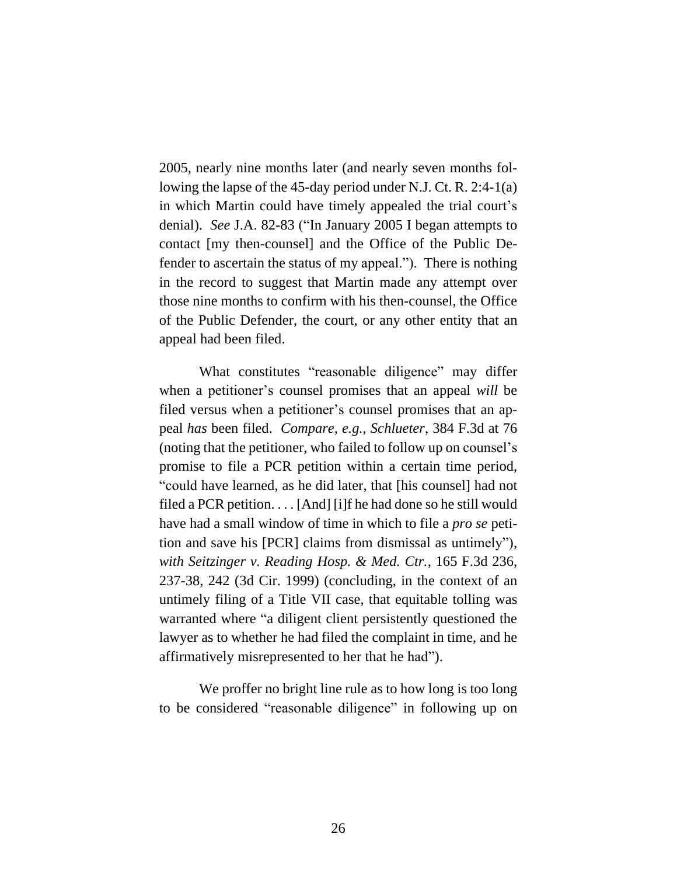2005, nearly nine months later (and nearly seven months following the lapse of the 45-day period under N.J. Ct. R. 2:4-1(a) in which Martin could have timely appealed the trial court's denial). *See* J.A. 82-83 ("In January 2005 I began attempts to contact [my then-counsel] and the Office of the Public Defender to ascertain the status of my appeal."). There is nothing in the record to suggest that Martin made any attempt over those nine months to confirm with his then-counsel, the Office of the Public Defender, the court, or any other entity that an appeal had been filed.

What constitutes "reasonable diligence" may differ when a petitioner's counsel promises that an appeal *will* be filed versus when a petitioner's counsel promises that an appeal *has* been filed. *Compare, e.g.*, *Schlueter*, 384 F.3d at 76 (noting that the petitioner, who failed to follow up on counsel's promise to file a PCR petition within a certain time period, "could have learned, as he did later, that [his counsel] had not filed a PCR petition. . . . [And] [i]f he had done so he still would have had a small window of time in which to file a *pro se* petition and save his [PCR] claims from dismissal as untimely"), *with Seitzinger v. Reading Hosp. & Med. Ctr.*, 165 F.3d 236, 237-38, 242 (3d Cir. 1999) (concluding, in the context of an untimely filing of a Title VII case, that equitable tolling was warranted where "a diligent client persistently questioned the lawyer as to whether he had filed the complaint in time, and he affirmatively misrepresented to her that he had").

We proffer no bright line rule as to how long is too long to be considered "reasonable diligence" in following up on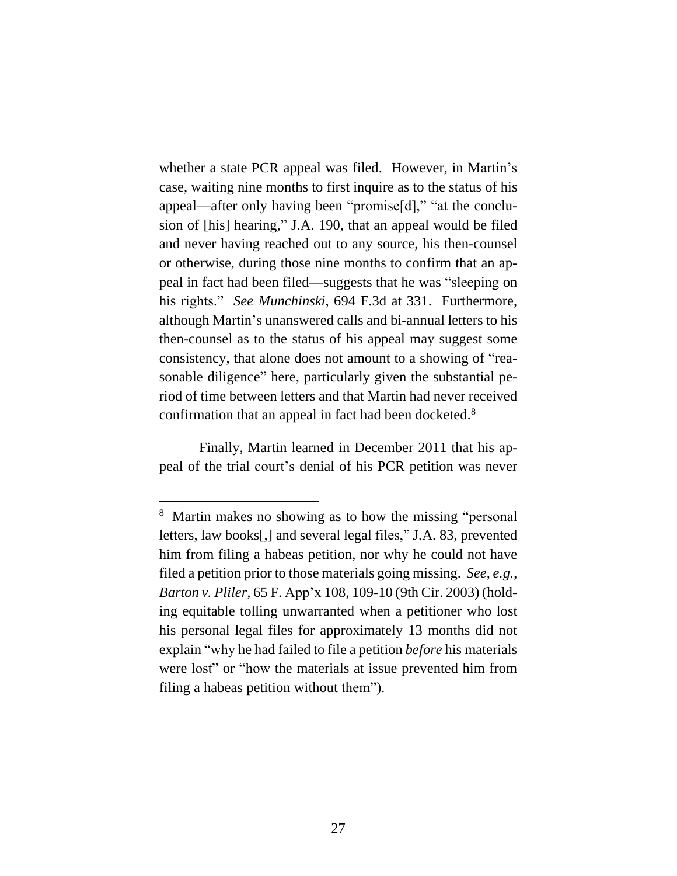whether a state PCR appeal was filed. However, in Martin's case, waiting nine months to first inquire as to the status of his appeal—after only having been "promise[d]," "at the conclusion of [his] hearing," J.A. 190, that an appeal would be filed and never having reached out to any source, his then-counsel or otherwise, during those nine months to confirm that an appeal in fact had been filed—suggests that he was "sleeping on his rights." *See Munchinski*, 694 F.3d at 331. Furthermore, although Martin's unanswered calls and bi-annual letters to his then-counsel as to the status of his appeal may suggest some consistency, that alone does not amount to a showing of "reasonable diligence" here, particularly given the substantial period of time between letters and that Martin had never received confirmation that an appeal in fact had been docketed.<sup>8</sup>

Finally, Martin learned in December 2011 that his appeal of the trial court's denial of his PCR petition was never

<sup>&</sup>lt;sup>8</sup> Martin makes no showing as to how the missing "personal letters, law books[,] and several legal files," J.A. 83, prevented him from filing a habeas petition, nor why he could not have filed a petition prior to those materials going missing. *See, e.g.*, *Barton v. Pliler,* 65 F. App'x 108, 109-10 (9th Cir. 2003) (holding equitable tolling unwarranted when a petitioner who lost his personal legal files for approximately 13 months did not explain "why he had failed to file a petition *before* his materials were lost" or "how the materials at issue prevented him from filing a habeas petition without them").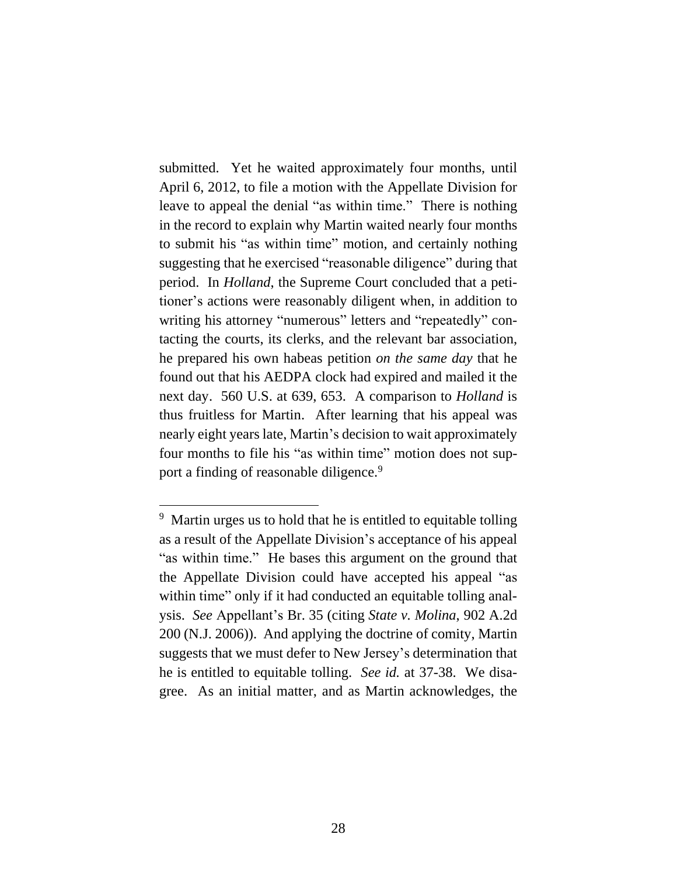submitted. Yet he waited approximately four months, until April 6, 2012, to file a motion with the Appellate Division for leave to appeal the denial "as within time." There is nothing in the record to explain why Martin waited nearly four months to submit his "as within time" motion, and certainly nothing suggesting that he exercised "reasonable diligence" during that period. In *Holland*, the Supreme Court concluded that a petitioner's actions were reasonably diligent when, in addition to writing his attorney "numerous" letters and "repeatedly" contacting the courts, its clerks, and the relevant bar association, he prepared his own habeas petition *on the same day* that he found out that his AEDPA clock had expired and mailed it the next day. 560 U.S. at 639, 653. A comparison to *Holland* is thus fruitless for Martin. After learning that his appeal was nearly eight years late, Martin's decision to wait approximately four months to file his "as within time" motion does not support a finding of reasonable diligence.<sup>9</sup>

<sup>&</sup>lt;sup>9</sup> Martin urges us to hold that he is entitled to equitable tolling as a result of the Appellate Division's acceptance of his appeal "as within time." He bases this argument on the ground that the Appellate Division could have accepted his appeal "as within time" only if it had conducted an equitable tolling analysis. *See* Appellant's Br. 35 (citing *State v. Molina*, 902 A.2d 200 (N.J. 2006)). And applying the doctrine of comity, Martin suggests that we must defer to New Jersey's determination that he is entitled to equitable tolling. *See id.* at 37-38. We disagree. As an initial matter, and as Martin acknowledges, the